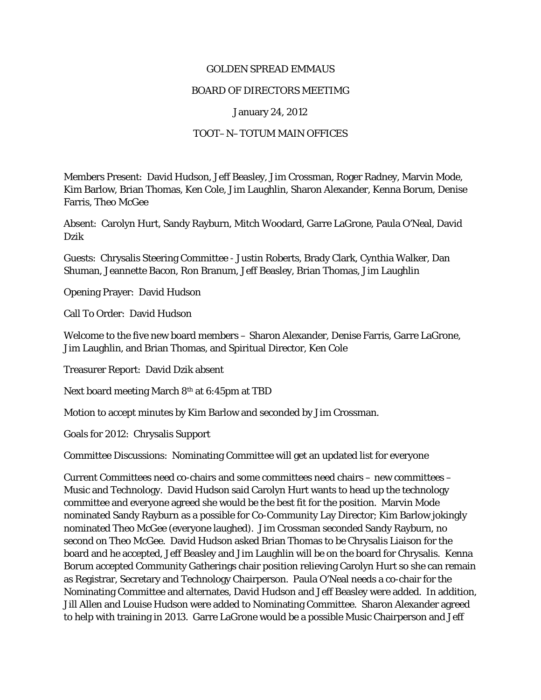## GOLDEN SPREAD EMMAUS

## BOARD OF DIRECTORS MEETIMG

## January 24, 2012

## TOOT–N–TOTUM MAIN OFFICES

Members Present: David Hudson, Jeff Beasley, Jim Crossman, Roger Radney, Marvin Mode, Kim Barlow, Brian Thomas, Ken Cole, Jim Laughlin, Sharon Alexander, Kenna Borum, Denise Farris, Theo McGee

Absent: Carolyn Hurt, Sandy Rayburn, Mitch Woodard, Garre LaGrone, Paula O'Neal, David Dzik

Guests: Chrysalis Steering Committee - Justin Roberts, Brady Clark, Cynthia Walker, Dan Shuman, Jeannette Bacon, Ron Branum, Jeff Beasley, Brian Thomas, Jim Laughlin

Opening Prayer: David Hudson

Call To Order: David Hudson

Welcome to the five new board members – Sharon Alexander, Denise Farris, Garre LaGrone, Jim Laughlin, and Brian Thomas, and Spiritual Director, Ken Cole

Treasurer Report: David Dzik absent

Next board meeting March 8th at 6:45pm at TBD

Motion to accept minutes by Kim Barlow and seconded by Jim Crossman.

Goals for 2012: Chrysalis Support

Committee Discussions: Nominating Committee will get an updated list for everyone

Current Committees need co-chairs and some committees need chairs – new committees – Music and Technology. David Hudson said Carolyn Hurt wants to head up the technology committee and everyone agreed she would be the best fit for the position. Marvin Mode nominated Sandy Rayburn as a possible for Co-Community Lay Director; Kim Barlow jokingly nominated Theo McGee (everyone laughed). Jim Crossman seconded Sandy Rayburn, no second on Theo McGee. David Hudson asked Brian Thomas to be Chrysalis Liaison for the board and he accepted, Jeff Beasley and Jim Laughlin will be on the board for Chrysalis. Kenna Borum accepted Community Gatherings chair position relieving Carolyn Hurt so she can remain as Registrar, Secretary and Technology Chairperson. Paula O'Neal needs a co-chair for the Nominating Committee and alternates, David Hudson and Jeff Beasley were added. In addition, Jill Allen and Louise Hudson were added to Nominating Committee. Sharon Alexander agreed to help with training in 2013. Garre LaGrone would be a possible Music Chairperson and Jeff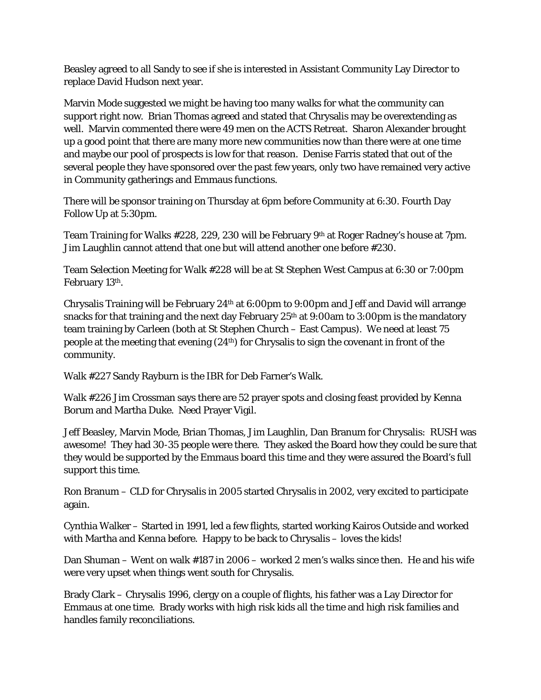Beasley agreed to all Sandy to see if she is interested in Assistant Community Lay Director to replace David Hudson next year.

Marvin Mode suggested we might be having too many walks for what the community can support right now. Brian Thomas agreed and stated that Chrysalis may be overextending as well. Marvin commented there were 49 men on the ACTS Retreat. Sharon Alexander brought up a good point that there are many more new communities now than there were at one time and maybe our pool of prospects is low for that reason. Denise Farris stated that out of the several people they have sponsored over the past few years, only two have remained very active in Community gatherings and Emmaus functions.

There will be sponsor training on Thursday at 6pm before Community at 6:30. Fourth Day Follow Up at 5:30pm.

Team Training for Walks #228, 229, 230 will be February 9<sup>th</sup> at Roger Radney's house at 7pm. Jim Laughlin cannot attend that one but will attend another one before #230.

Team Selection Meeting for Walk #228 will be at St Stephen West Campus at 6:30 or 7:00pm February 13th.

Chrysalis Training will be February 24th at 6:00pm to 9:00pm and Jeff and David will arrange snacks for that training and the next day February  $25<sup>th</sup>$  at 9:00am to 3:00pm is the mandatory team training by Carleen (both at St Stephen Church – East Campus). We need at least 75 people at the meeting that evening (24th) for Chrysalis to sign the covenant in front of the community.

Walk #227 Sandy Rayburn is the IBR for Deb Farner's Walk.

Walk #226 Jim Crossman says there are 52 prayer spots and closing feast provided by Kenna Borum and Martha Duke. Need Prayer Vigil.

Jeff Beasley, Marvin Mode, Brian Thomas, Jim Laughlin, Dan Branum for Chrysalis: RUSH was awesome! They had 30-35 people were there. They asked the Board how they could be sure that they would be supported by the Emmaus board this time and they were assured the Board's full support this time.

Ron Branum – CLD for Chrysalis in 2005 started Chrysalis in 2002, very excited to participate again.

Cynthia Walker – Started in 1991, led a few flights, started working Kairos Outside and worked with Martha and Kenna before. Happy to be back to Chrysalis – loves the kids!

Dan Shuman – Went on walk #187 in 2006 – worked 2 men's walks since then. He and his wife were very upset when things went south for Chrysalis.

Brady Clark – Chrysalis 1996, clergy on a couple of flights, his father was a Lay Director for Emmaus at one time. Brady works with high risk kids all the time and high risk families and handles family reconciliations.